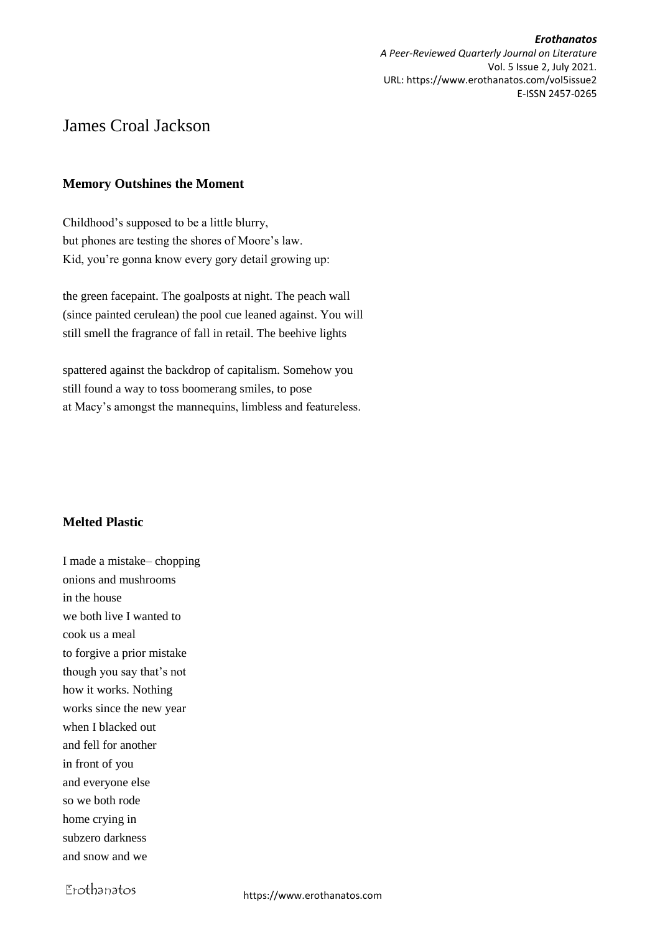*Erothanatos A Peer-Reviewed Quarterly Journal on Literature* Vol. 5 Issue 2, July 2021. URL: https://www.erothanatos.com/vol5issue2 E-ISSN 2457-0265

# James Croal Jackson

### **Memory Outshines the Moment**

Childhood's supposed to be a little blurry, but phones are testing the shores of Moore's law. Kid, you're gonna know every gory detail growing up:

the green facepaint. The goalposts at night. The peach wall (since painted cerulean) the pool cue leaned against. You will still smell the fragrance of fall in retail. The beehive lights

spattered against the backdrop of capitalism. Somehow you still found a way to toss boomerang smiles, to pose at Macy's amongst the mannequins, limbless and featureless.

# **Melted Plastic**

I made a mistake– chopping onions and mushrooms in the house we both live I wanted to cook us a meal to forgive a prior mistake though you say that's not how it works. Nothing works since the new year when I blacked out and fell for another in front of you and everyone else so we both rode home crying in subzero darkness and snow and we

Erothanatos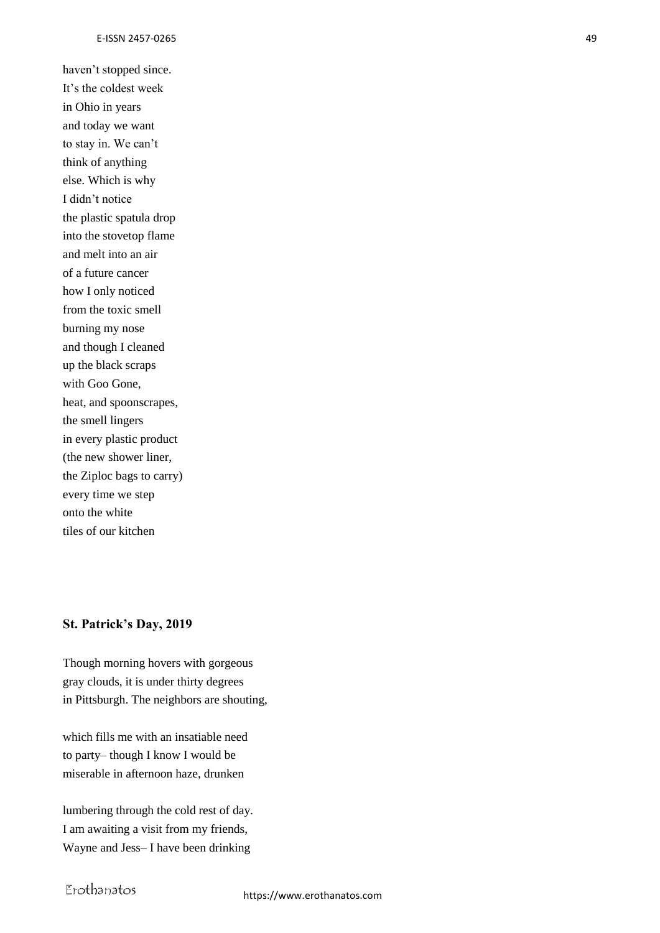haven't stopped since. It's the coldest week in Ohio in years and today we want to stay in. We can't think of anything else. Which is why I didn't notice the plastic spatula drop into the stovetop flame and melt into an air of a future cancer how I only noticed from the toxic smell burning my nose and though I cleaned up the black scraps with Goo Gone, heat, and spoonscrapes, the smell lingers in every plastic product (the new shower liner, the Ziploc bags to carry) every time we step onto the white tiles of our kitchen

#### **St. Patrick's Day, 2019**

Though morning hovers with gorgeous gray clouds, it is under thirty degrees in Pittsburgh. The neighbors are shouting,

which fills me with an insatiable need to party– though I know I would be miserable in afternoon haze, drunken

lumbering through the cold rest of day. I am awaiting a visit from my friends, Wayne and Jess– I have been drinking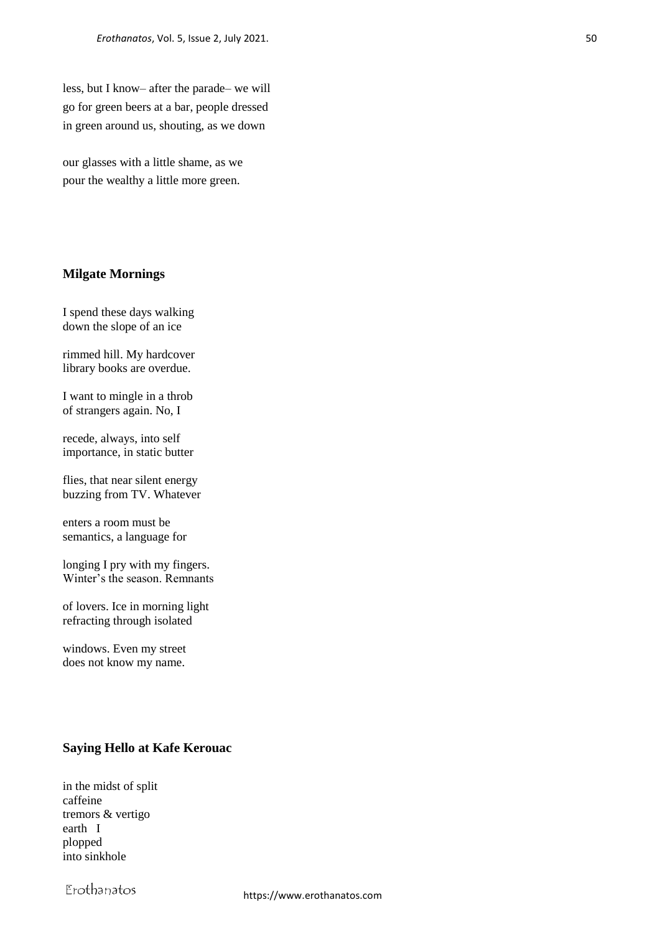less, but I know– after the parade– we will go for green beers at a bar, people dressed in green around us, shouting, as we down

our glasses with a little shame, as we pour the wealthy a little more green.

#### **Milgate Mornings**

I spend these days walking down the slope of an ice

rimmed hill. My hardcover library books are overdue.

I want to mingle in a throb of strangers again. No, I

recede, always, into self importance, in static butter

flies, that near silent energy buzzing from TV. Whatever

enters a room must be semantics, a language for

longing I pry with my fingers. Winter's the season. Remnants

of lovers. Ice in morning light refracting through isolated

windows. Even my street does not know my name.

#### **Saying Hello at Kafe Kerouac**

in the midst of split caffeine tremors & vertigo earth I plopped into sinkhole

Erothanatos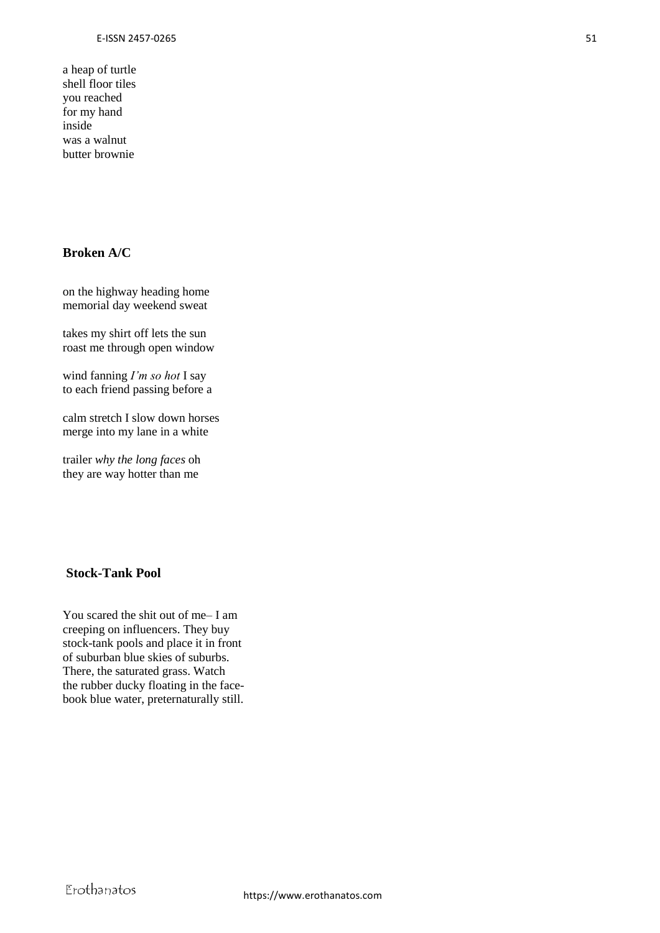a heap of turtle shell floor tiles you reached for my hand inside was a walnut butter brownie

# **Broken A/C**

on the highway heading home memorial day weekend sweat

takes my shirt off lets the sun roast me through open window

wind fanning *I'm so hot* I say to each friend passing before a

calm stretch I slow down horses merge into my lane in a white

trailer *why the long faces* oh they are way hotter than me

#### **Stock-Tank Pool**

You scared the shit out of me– I am creeping on influencers. They buy stock-tank pools and place it in front of suburban blue skies of suburbs. There, the saturated grass. Watch the rubber ducky floating in the facebook blue water, preternaturally still.